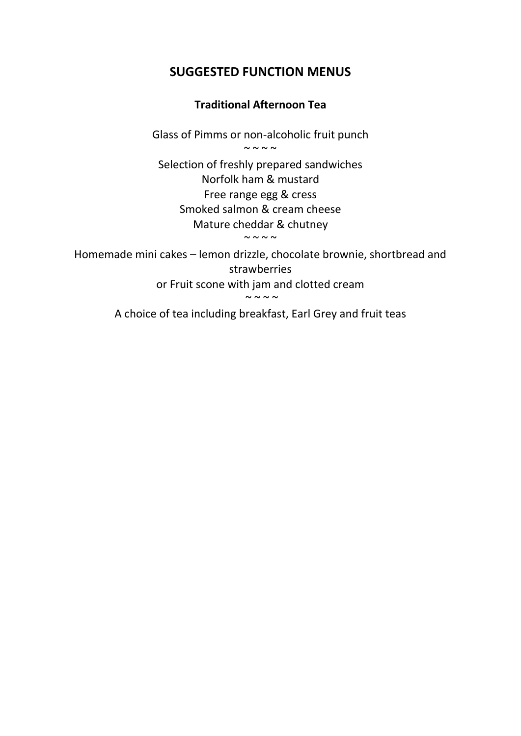## **SUGGESTED FUNCTION MENUS**

## **Traditional Afternoon Tea**

Glass of Pimms or non-alcoholic fruit punch  $\sim$   $\sim$   $\sim$   $\sim$ 

Selection of freshly prepared sandwiches Norfolk ham & mustard Free range egg & cress Smoked salmon & cream cheese Mature cheddar & chutney

 $\sim$  ~ ~ ~

Homemade mini cakes – lemon drizzle, chocolate brownie, shortbread and strawberries or Fruit scone with jam and clotted cream

 $\sim$   $\sim$   $\sim$   $\sim$ 

A choice of tea including breakfast, Earl Grey and fruit teas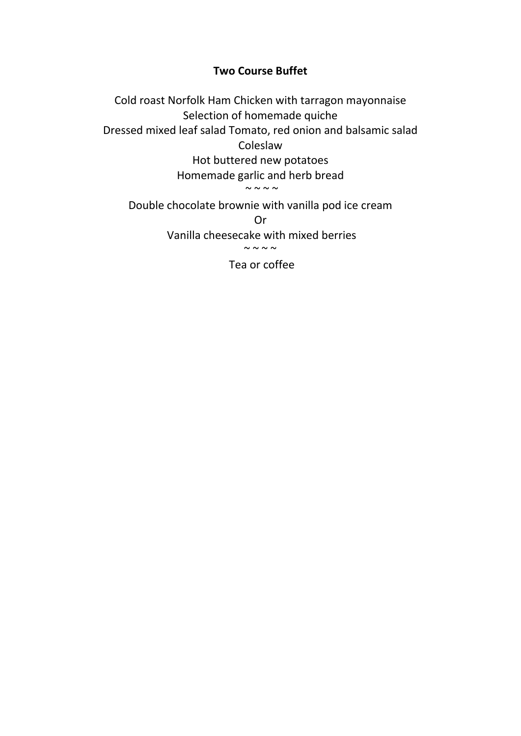## **Two Course Buffet**

Cold roast Norfolk Ham Chicken with tarragon mayonnaise Selection of homemade quiche Dressed mixed leaf salad Tomato, red onion and balsamic salad Coleslaw

Hot buttered new potatoes Homemade garlic and herb bread

 $\sim$  ~ ~ ~

Double chocolate brownie with vanilla pod ice cream

Or

Vanilla cheesecake with mixed berries

 $\sim$   $\sim$   $\sim$   $\sim$   $\sim$ 

Tea or coffee